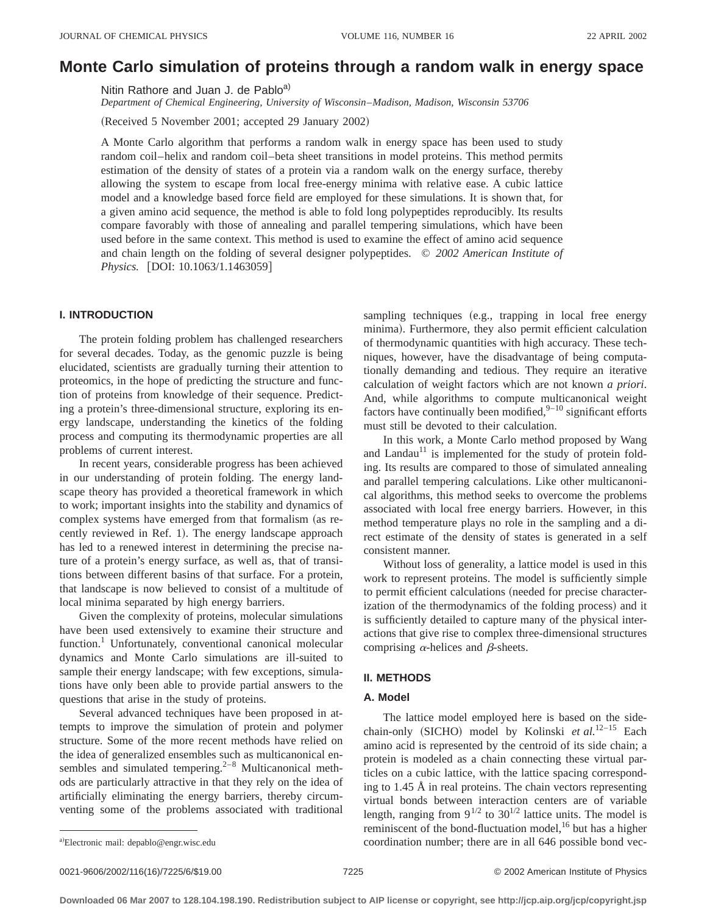# **Monte Carlo simulation of proteins through a random walk in energy space**

Nitin Rathore and Juan J. de Pablo<sup>a)</sup>

*Department of Chemical Engineering, University of Wisconsin*–*Madison, Madison, Wisconsin 53706*

(Received 5 November 2001; accepted 29 January 2002)

A Monte Carlo algorithm that performs a random walk in energy space has been used to study random coil–helix and random coil–beta sheet transitions in model proteins. This method permits estimation of the density of states of a protein via a random walk on the energy surface, thereby allowing the system to escape from local free-energy minima with relative ease. A cubic lattice model and a knowledge based force field are employed for these simulations. It is shown that, for a given amino acid sequence, the method is able to fold long polypeptides reproducibly. Its results compare favorably with those of annealing and parallel tempering simulations, which have been used before in the same context. This method is used to examine the effect of amino acid sequence and chain length on the folding of several designer polypeptides. © *2002 American Institute of Physics.* [DOI: 10.1063/1.1463059]

## **I. INTRODUCTION**

The protein folding problem has challenged researchers for several decades. Today, as the genomic puzzle is being elucidated, scientists are gradually turning their attention to proteomics, in the hope of predicting the structure and function of proteins from knowledge of their sequence. Predicting a protein's three-dimensional structure, exploring its energy landscape, understanding the kinetics of the folding process and computing its thermodynamic properties are all problems of current interest.

In recent years, considerable progress has been achieved in our understanding of protein folding. The energy landscape theory has provided a theoretical framework in which to work; important insights into the stability and dynamics of complex systems have emerged from that formalism (as recently reviewed in Ref. 1). The energy landscape approach has led to a renewed interest in determining the precise nature of a protein's energy surface, as well as, that of transitions between different basins of that surface. For a protein, that landscape is now believed to consist of a multitude of local minima separated by high energy barriers.

Given the complexity of proteins, molecular simulations have been used extensively to examine their structure and function.<sup>1</sup> Unfortunately, conventional canonical molecular dynamics and Monte Carlo simulations are ill-suited to sample their energy landscape; with few exceptions, simulations have only been able to provide partial answers to the questions that arise in the study of proteins.

Several advanced techniques have been proposed in attempts to improve the simulation of protein and polymer structure. Some of the more recent methods have relied on the idea of generalized ensembles such as multicanonical ensembles and simulated tempering. $2^{-8}$  Multicanonical methods are particularly attractive in that they rely on the idea of artificially eliminating the energy barriers, thereby circumventing some of the problems associated with traditional sampling techniques (e.g., trapping in local free energy minima). Furthermore, they also permit efficient calculation of thermodynamic quantities with high accuracy. These techniques, however, have the disadvantage of being computationally demanding and tedious. They require an iterative calculation of weight factors which are not known *a priori*. And, while algorithms to compute multicanonical weight factors have continually been modified, $9-10$  significant efforts must still be devoted to their calculation.

In this work, a Monte Carlo method proposed by Wang and Landau<sup>11</sup> is implemented for the study of protein folding. Its results are compared to those of simulated annealing and parallel tempering calculations. Like other multicanonical algorithms, this method seeks to overcome the problems associated with local free energy barriers. However, in this method temperature plays no role in the sampling and a direct estimate of the density of states is generated in a self consistent manner.

Without loss of generality, a lattice model is used in this work to represent proteins. The model is sufficiently simple to permit efficient calculations (needed for precise characterization of the thermodynamics of the folding process) and it is sufficiently detailed to capture many of the physical interactions that give rise to complex three-dimensional structures comprising  $\alpha$ -helices and  $\beta$ -sheets.

### **II. METHODS**

## **A. Model**

The lattice model employed here is based on the sidechain-only (SICHO) model by Kolinski et al.<sup>12-15</sup> Each amino acid is represented by the centroid of its side chain; a protein is modeled as a chain connecting these virtual particles on a cubic lattice, with the lattice spacing corresponding to 1.45 Å in real proteins. The chain vectors representing virtual bonds between interaction centers are of variable length, ranging from  $9^{1/2}$  to  $30^{1/2}$  lattice units. The model is reminiscent of the bond-fluctuation model, $^{16}$  but has a higher coordination number; there are in all 646 possible bond vec-

Electronic mail: depablo@engr.wisc.edu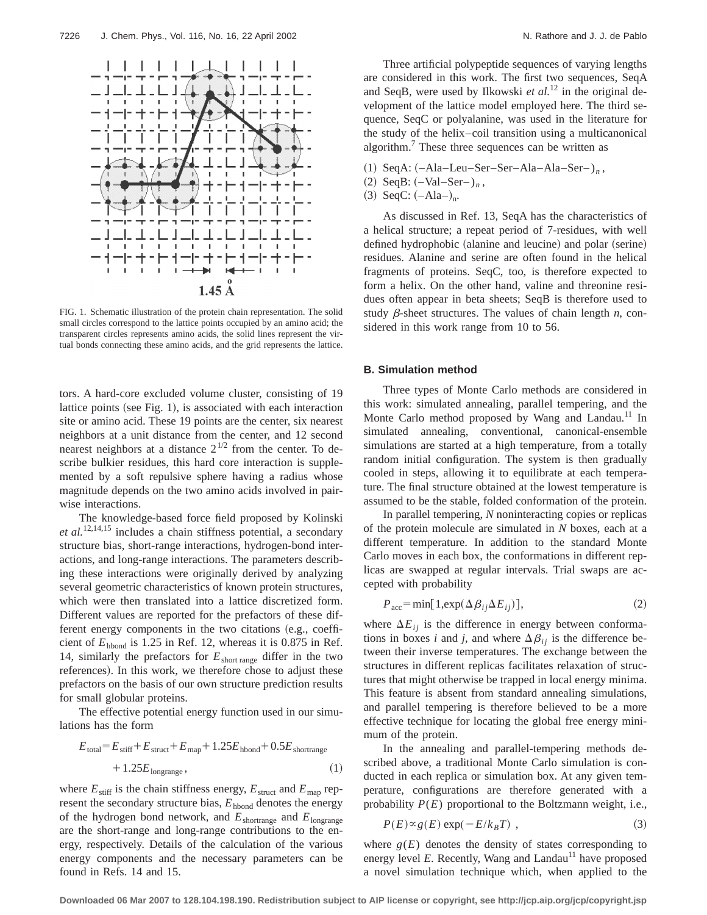

FIG. 1. Schematic illustration of the protein chain representation. The solid small circles correspond to the lattice points occupied by an amino acid; the transparent circles represents amino acids, the solid lines represent the virtual bonds connecting these amino acids, and the grid represents the lattice.

tors. A hard-core excluded volume cluster, consisting of 19 lattice points (see Fig. 1), is associated with each interaction site or amino acid. These 19 points are the center, six nearest neighbors at a unit distance from the center, and 12 second nearest neighbors at a distance  $2^{1/2}$  from the center. To describe bulkier residues, this hard core interaction is supplemented by a soft repulsive sphere having a radius whose magnitude depends on the two amino acids involved in pairwise interactions.

The knowledge-based force field proposed by Kolinski *et al.*12,14,15 includes a chain stiffness potential, a secondary structure bias, short-range interactions, hydrogen-bond interactions, and long-range interactions. The parameters describing these interactions were originally derived by analyzing several geometric characteristics of known protein structures, which were then translated into a lattice discretized form. Different values are reported for the prefactors of these different energy components in the two citations (e.g., coefficient of  $E_{\text{hbond}}$  is 1.25 in Ref. 12, whereas it is 0.875 in Ref. 14, similarly the prefactors for  $E_{short\, range}$  differ in the two references). In this work, we therefore chose to adjust these prefactors on the basis of our own structure prediction results for small globular proteins.

The effective potential energy function used in our simulations has the form

$$
E_{\text{total}} = E_{\text{stiff}} + E_{\text{struct}} + E_{\text{map}} + 1.25E_{\text{hbond}} + 0.5E_{\text{shortrange}}
$$
  
+ 1.25E<sub>longrange</sub>, (1)

where  $E_{\text{stiff}}$  is the chain stiffness energy,  $E_{\text{struct}}$  and  $E_{\text{map}}$  represent the secondary structure bias,  $E_{\text{hbond}}$  denotes the energy of the hydrogen bond network, and *E*shortrange and *E*longrange are the short-range and long-range contributions to the energy, respectively. Details of the calculation of the various energy components and the necessary parameters can be found in Refs. 14 and 15.

Three artificial polypeptide sequences of varying lengths are considered in this work. The first two sequences, SeqA and SeqB, were used by Ilkowski *et al.*<sup>12</sup> in the original development of the lattice model employed here. The third sequence, SeqC or polyalanine, was used in the literature for the study of the helix–coil transition using a multicanonical algorithm. $<sup>7</sup>$  These three sequences can be written as</sup>

- (1) SeqA:  $(-Ala-Leu-Ser-Ser-Ala-Ala-Ser)$ <sub>n</sub>,
- $(2)$  SeqB:  $(-Val-Ser-)_{n}$ ,
- (3)  $SeqC: (-Ala-)_{n}.$

As discussed in Ref. 13, SeqA has the characteristics of a helical structure; a repeat period of 7-residues, with well defined hydrophobic (alanine and leucine) and polar (serine) residues. Alanine and serine are often found in the helical fragments of proteins. SeqC, too, is therefore expected to form a helix. On the other hand, valine and threonine residues often appear in beta sheets; SeqB is therefore used to study  $\beta$ -sheet structures. The values of chain length *n*, considered in this work range from 10 to 56.

### **B. Simulation method**

Three types of Monte Carlo methods are considered in this work: simulated annealing, parallel tempering, and the Monte Carlo method proposed by Wang and Landau.<sup>11</sup> In simulated annealing, conventional, canonical-ensemble simulations are started at a high temperature, from a totally random initial configuration. The system is then gradually cooled in steps, allowing it to equilibrate at each temperature. The final structure obtained at the lowest temperature is assumed to be the stable, folded conformation of the protein.

In parallel tempering, *N* noninteracting copies or replicas of the protein molecule are simulated in *N* boxes, each at a different temperature. In addition to the standard Monte Carlo moves in each box, the conformations in different replicas are swapped at regular intervals. Trial swaps are accepted with probability

$$
P_{\text{acc}} = \min[1, \exp(\Delta \beta_{ij} \Delta E_{ij})], \tag{2}
$$

where  $\Delta E_{ij}$  is the difference in energy between conformations in boxes *i* and *j*, and where  $\Delta \beta_{ij}$  is the difference between their inverse temperatures. The exchange between the structures in different replicas facilitates relaxation of structures that might otherwise be trapped in local energy minima. This feature is absent from standard annealing simulations, and parallel tempering is therefore believed to be a more effective technique for locating the global free energy minimum of the protein.

In the annealing and parallel-tempering methods described above, a traditional Monte Carlo simulation is conducted in each replica or simulation box. At any given temperature, configurations are therefore generated with a probability  $P(E)$  proportional to the Boltzmann weight, i.e.,

$$
P(E) \propto g(E) \exp(-E/k_B T) , \qquad (3)
$$

where  $g(E)$  denotes the density of states corresponding to energy level  $E$ . Recently, Wang and Landau<sup>11</sup> have proposed a novel simulation technique which, when applied to the

**Downloaded 06 Mar 2007 to 128.104.198.190. Redistribution subject to AIP license or copyright, see http://jcp.aip.org/jcp/copyright.jsp**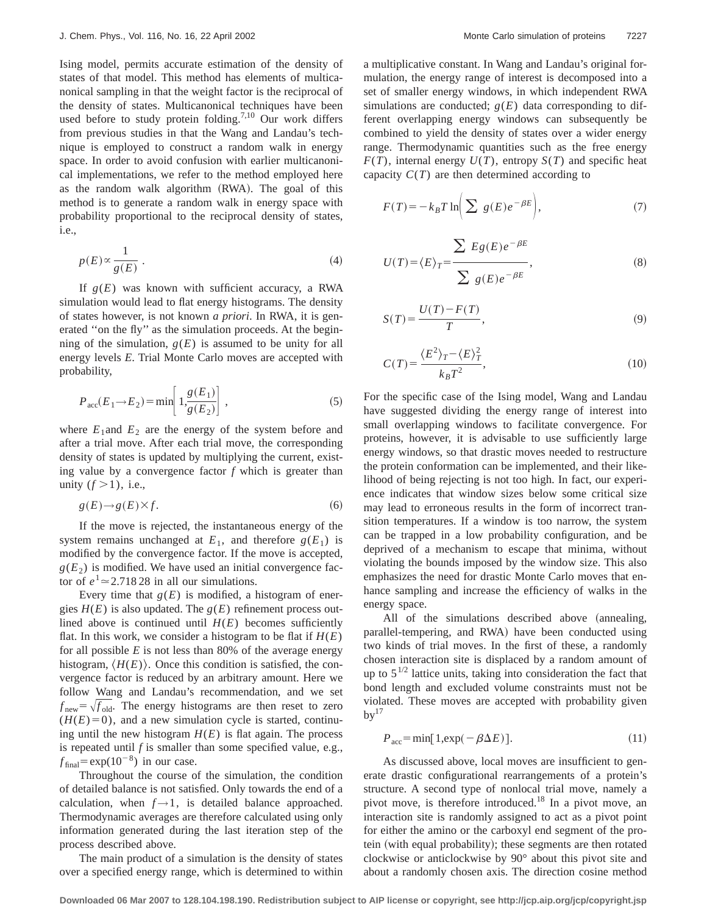Ising model, permits accurate estimation of the density of states of that model. This method has elements of multicanonical sampling in that the weight factor is the reciprocal of the density of states. Multicanonical techniques have been used before to study protein folding.<sup>7,10</sup> Our work differs from previous studies in that the Wang and Landau's technique is employed to construct a random walk in energy space. In order to avoid confusion with earlier multicanonical implementations, we refer to the method employed here as the random walk algorithm (RWA). The goal of this method is to generate a random walk in energy space with probability proportional to the reciprocal density of states, i.e.,

$$
p(E) \propto \frac{1}{g(E)} \ . \tag{4}
$$

If  $g(E)$  was known with sufficient accuracy, a RWA simulation would lead to flat energy histograms. The density of states however, is not known *a priori*. In RWA, it is generated ''on the fly'' as the simulation proceeds. At the beginning of the simulation,  $g(E)$  is assumed to be unity for all energy levels *E*. Trial Monte Carlo moves are accepted with probability,

$$
P_{\text{acc}}(E_1 \to E_2) = \min \left[ 1, \frac{g(E_1)}{g(E_2)} \right],\tag{5}
$$

where  $E_1$  and  $E_2$  are the energy of the system before and after a trial move. After each trial move, the corresponding density of states is updated by multiplying the current, existing value by a convergence factor *f* which is greater than unity  $(f > 1)$ , i.e.,

$$
g(E)\rightarrow g(E)\times f.\tag{6}
$$

If the move is rejected, the instantaneous energy of the system remains unchanged at  $E_1$ , and therefore  $g(E_1)$  is modified by the convergence factor. If the move is accepted,  $g(E_2)$  is modified. We have used an initial convergence factor of  $e^1 \approx 2.71828$  in all our simulations.

Every time that  $g(E)$  is modified, a histogram of energies  $H(E)$  is also updated. The  $g(E)$  refinement process outlined above is continued until  $H(E)$  becomes sufficiently flat. In this work, we consider a histogram to be flat if  $H(E)$ for all possible  $E$  is not less than 80% of the average energy histogram,  $\langle H(E) \rangle$ . Once this condition is satisfied, the convergence factor is reduced by an arbitrary amount. Here we follow Wang and Landau's recommendation, and we set  $f_{\text{new}} = \sqrt{f_{\text{old}}}$ . The energy histograms are then reset to zero  $(H(E)=0)$ , and a new simulation cycle is started, continuing until the new histogram  $H(E)$  is flat again. The process is repeated until *f* is smaller than some specified value, e.g.,  $f_{\text{final}}$ =exp(10<sup>-8</sup>) in our case.

Throughout the course of the simulation, the condition of detailed balance is not satisfied. Only towards the end of a calculation, when  $f \rightarrow 1$ , is detailed balance approached. Thermodynamic averages are therefore calculated using only information generated during the last iteration step of the process described above.

The main product of a simulation is the density of states over a specified energy range, which is determined to within a multiplicative constant. In Wang and Landau's original formulation, the energy range of interest is decomposed into a set of smaller energy windows, in which independent RWA simulations are conducted;  $g(E)$  data corresponding to different overlapping energy windows can subsequently be combined to yield the density of states over a wider energy range. Thermodynamic quantities such as the free energy  $F(T)$ , internal energy  $U(T)$ , entropy  $S(T)$  and specific heat capacity  $C(T)$  are then determined according to

$$
F(T) = -k_B T \ln \left( \sum g(E) e^{-\beta E} \right),\tag{7}
$$

$$
U(T) = \langle E \rangle_T = \frac{\sum E g(E) e^{-\beta E}}{\sum g(E) e^{-\beta E}},
$$
\n(8)

$$
S(T) = \frac{U(T) - F(T)}{T},\tag{9}
$$

$$
C(T) = \frac{\langle E^2 \rangle_T - \langle E \rangle_T^2}{k_B T^2},\tag{10}
$$

For the specific case of the Ising model, Wang and Landau have suggested dividing the energy range of interest into small overlapping windows to facilitate convergence. For proteins, however, it is advisable to use sufficiently large energy windows, so that drastic moves needed to restructure the protein conformation can be implemented, and their likelihood of being rejecting is not too high. In fact, our experience indicates that window sizes below some critical size may lead to erroneous results in the form of incorrect transition temperatures. If a window is too narrow, the system can be trapped in a low probability configuration, and be deprived of a mechanism to escape that minima, without violating the bounds imposed by the window size. This also emphasizes the need for drastic Monte Carlo moves that enhance sampling and increase the efficiency of walks in the energy space.

All of the simulations described above (annealing, parallel-tempering, and RWA) have been conducted using two kinds of trial moves. In the first of these, a randomly chosen interaction site is displaced by a random amount of up to  $5^{1/2}$  lattice units, taking into consideration the fact that bond length and excluded volume constraints must not be violated. These moves are accepted with probability given  $by<sup>17</sup>$ 

$$
P_{\text{acc}} = \min[1, \exp(-\beta \Delta E)]. \tag{11}
$$

As discussed above, local moves are insufficient to generate drastic configurational rearrangements of a protein's structure. A second type of nonlocal trial move, namely a pivot move, is therefore introduced.<sup>18</sup> In a pivot move, an interaction site is randomly assigned to act as a pivot point for either the amino or the carboxyl end segment of the protein (with equal probability); these segments are then rotated clockwise or anticlockwise by 90° about this pivot site and about a randomly chosen axis. The direction cosine method

**Downloaded 06 Mar 2007 to 128.104.198.190. Redistribution subject to AIP license or copyright, see http://jcp.aip.org/jcp/copyright.jsp**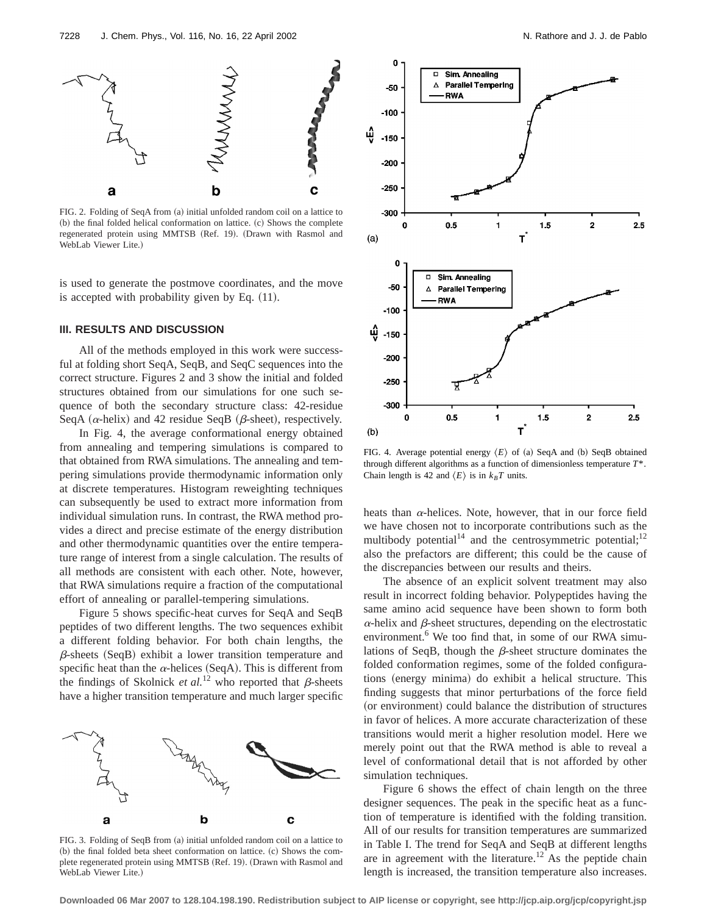

FIG. 2. Folding of SeqA from (a) initial unfolded random coil on a lattice to  $(b)$  the final folded helical conformation on lattice.  $(c)$  Shows the complete regenerated protein using MMTSB (Ref. 19). (Drawn with Rasmol and WebLab Viewer Lite.)

is used to generate the postmove coordinates, and the move is accepted with probability given by Eq.  $(11)$ .

## **III. RESULTS AND DISCUSSION**

All of the methods employed in this work were successful at folding short SeqA, SeqB, and SeqC sequences into the correct structure. Figures 2 and 3 show the initial and folded structures obtained from our simulations for one such sequence of both the secondary structure class: 42-residue SeqA ( $\alpha$ -helix) and 42 residue SeqB ( $\beta$ -sheet), respectively.

In Fig. 4, the average conformational energy obtained from annealing and tempering simulations is compared to that obtained from RWA simulations. The annealing and tempering simulations provide thermodynamic information only at discrete temperatures. Histogram reweighting techniques can subsequently be used to extract more information from individual simulation runs. In contrast, the RWA method provides a direct and precise estimate of the energy distribution and other thermodynamic quantities over the entire temperature range of interest from a single calculation. The results of all methods are consistent with each other. Note, however, that RWA simulations require a fraction of the computational effort of annealing or parallel-tempering simulations.

Figure 5 shows specific-heat curves for SeqA and SeqB peptides of two different lengths. The two sequences exhibit a different folding behavior. For both chain lengths, the  $\beta$ -sheets (SeqB) exhibit a lower transition temperature and specific heat than the  $\alpha$ -helices (SeqA). This is different from the findings of Skolnick *et al.*<sup>12</sup> who reported that  $\beta$ -sheets have a higher transition temperature and much larger specific



FIG. 3. Folding of SeqB from (a) initial unfolded random coil on a lattice to (b) the final folded beta sheet conformation on lattice. (c) Shows the complete regenerated protein using MMTSB (Ref. 19). (Drawn with Rasmol and WebLab Viewer Lite.)



FIG. 4. Average potential energy  $\langle E \rangle$  of (a) SeqA and (b) SeqB obtained through different algorithms as a function of dimensionless temperature *T*\*. Chain length is 42 and  $\langle E \rangle$  is in  $k_BT$  units.

heats than  $\alpha$ -helices. Note, however, that in our force field we have chosen not to incorporate contributions such as the multibody potential<sup>14</sup> and the centrosymmetric potential;<sup>12</sup> also the prefactors are different; this could be the cause of the discrepancies between our results and theirs.

The absence of an explicit solvent treatment may also result in incorrect folding behavior. Polypeptides having the same amino acid sequence have been shown to form both  $\alpha$ -helix and  $\beta$ -sheet structures, depending on the electrostatic environment.<sup>6</sup> We too find that, in some of our RWA simulations of SeqB, though the  $\beta$ -sheet structure dominates the folded conformation regimes, some of the folded configurations (energy minima) do exhibit a helical structure. This finding suggests that minor perturbations of the force field (or environment) could balance the distribution of structures in favor of helices. A more accurate characterization of these transitions would merit a higher resolution model. Here we merely point out that the RWA method is able to reveal a level of conformational detail that is not afforded by other simulation techniques.

Figure 6 shows the effect of chain length on the three designer sequences. The peak in the specific heat as a function of temperature is identified with the folding transition. All of our results for transition temperatures are summarized in Table I. The trend for SeqA and SeqB at different lengths are in agreement with the literature.<sup>12</sup> As the peptide chain length is increased, the transition temperature also increases.

**Downloaded 06 Mar 2007 to 128.104.198.190. Redistribution subject to AIP license or copyright, see http://jcp.aip.org/jcp/copyright.jsp**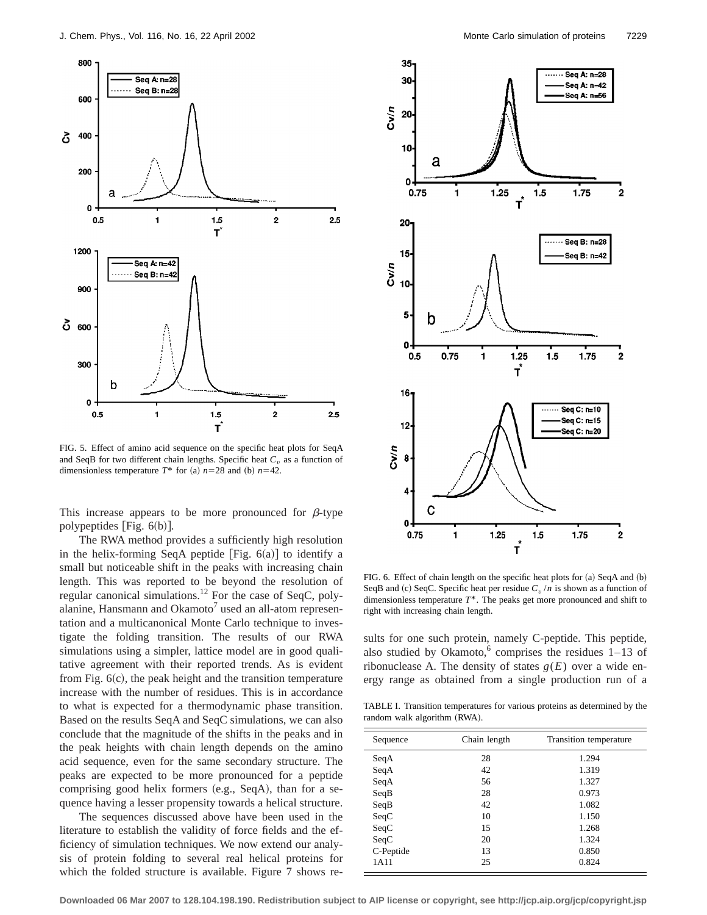

FIG. 5. Effect of amino acid sequence on the specific heat plots for SeqA and SeqB for two different chain lengths. Specific heat  $C_v$  as a function of dimensionless temperature  $T^*$  for (a)  $n=28$  and (b)  $n=42$ .

This increase appears to be more pronounced for  $\beta$ -type polypeptides  $[Fig. 6(b)].$ 

The RWA method provides a sufficiently high resolution in the helix-forming SeqA peptide  $|Fig. 6(a)|$  to identify a small but noticeable shift in the peaks with increasing chain length. This was reported to be beyond the resolution of regular canonical simulations.12 For the case of SeqC, polyalanine, Hansmann and Okamoto<sup>7</sup> used an all-atom representation and a multicanonical Monte Carlo technique to investigate the folding transition. The results of our RWA simulations using a simpler, lattice model are in good qualitative agreement with their reported trends. As is evident from Fig.  $6(c)$ , the peak height and the transition temperature increase with the number of residues. This is in accordance to what is expected for a thermodynamic phase transition. Based on the results SeqA and SeqC simulations, we can also conclude that the magnitude of the shifts in the peaks and in the peak heights with chain length depends on the amino acid sequence, even for the same secondary structure. The peaks are expected to be more pronounced for a peptide comprising good helix formers  $(e.g., SeqA)$ , than for a sequence having a lesser propensity towards a helical structure.

The sequences discussed above have been used in the literature to establish the validity of force fields and the efficiency of simulation techniques. We now extend our analysis of protein folding to several real helical proteins for which the folded structure is available. Figure 7 shows re-



FIG. 6. Effect of chain length on the specific heat plots for  $(a)$  SeqA and  $(b)$ SeqB and (c) SeqC. Specific heat per residue  $C_v/n$  is shown as a function of dimensionless temperature *T*\*. The peaks get more pronounced and shift to right with increasing chain length.

sults for one such protein, namely C-peptide. This peptide, also studied by Okamoto,<sup>6</sup> comprises the residues  $1-13$  of ribonuclease A. The density of states  $g(E)$  over a wide energy range as obtained from a single production run of a

TABLE I. Transition temperatures for various proteins as determined by the random walk algorithm (RWA).

| Sequence  | Chain length | Transition temperature |
|-----------|--------------|------------------------|
| SeqA      | 28           | 1.294                  |
| SeqA      | 42           | 1.319                  |
| SeqA      | 56           | 1.327                  |
| SeqB      | 28           | 0.973                  |
| SeqB      | 42           | 1.082                  |
| SeqC      | 10           | 1.150                  |
| SeqC      | 15           | 1.268                  |
| SeqC      | 20           | 1.324                  |
| C-Peptide | 13           | 0.850                  |
| 1A11      | 25           | 0.824                  |